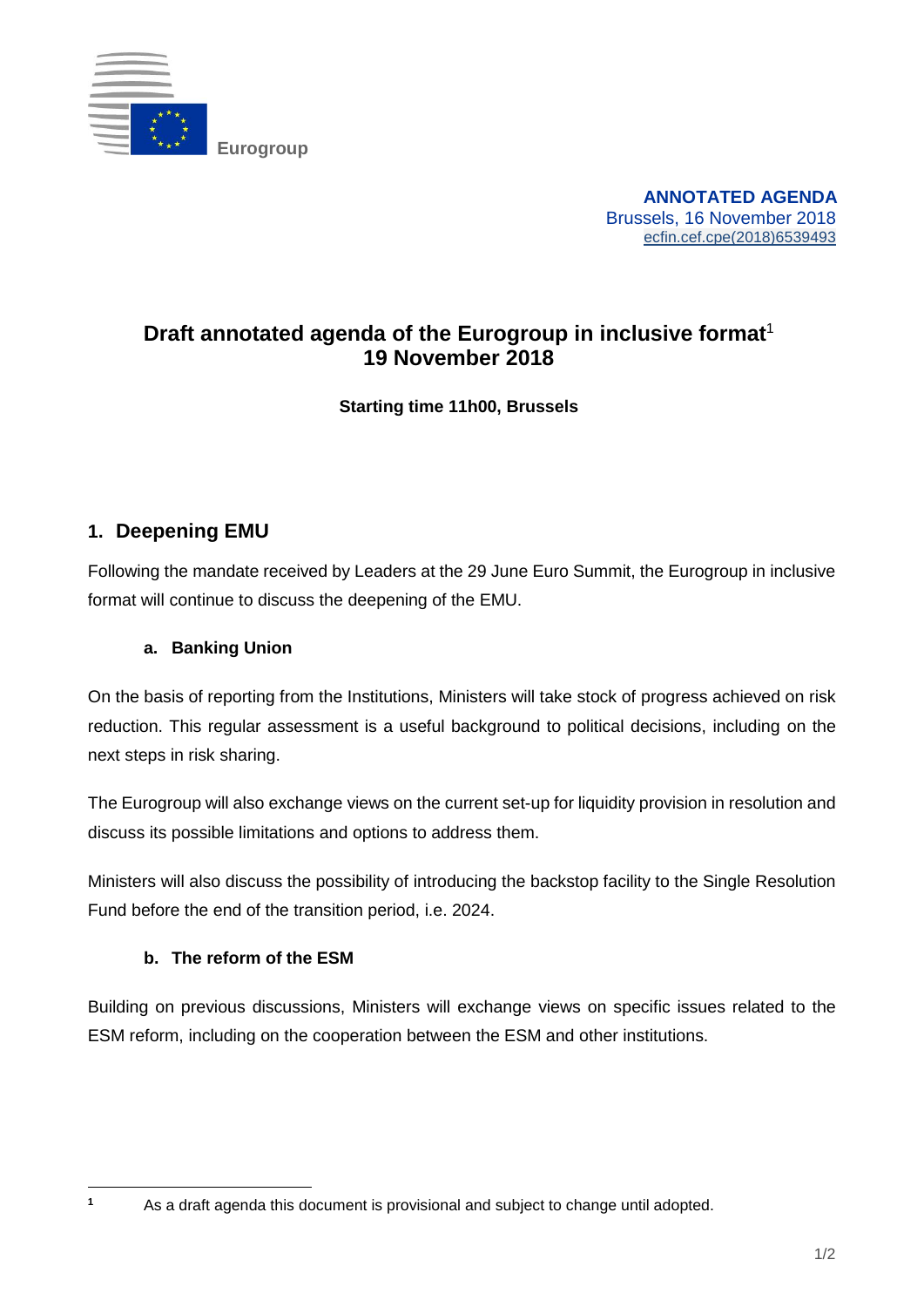

**ANNOTATED AGENDA** Brussels, 16 November 2018 [ecfin.cef.cpe\(2018\)6539493](https://webgate.ec.testa.eu/Ares/document/show.do?documentId=080166e5bf380125×tamp=1542268231322)

# **Draft annotated agenda of the Eurogroup in inclusive format<sup>1</sup> 19 November 2018**

**Starting time 11h00, Brussels**

## **1. Deepening EMU**

Following the mandate received by Leaders at the 29 June Euro Summit, the Eurogroup in inclusive format will continue to discuss the deepening of the EMU.

### **a. Banking Union**

On the basis of reporting from the Institutions, Ministers will take stock of progress achieved on risk reduction. This regular assessment is a useful background to political decisions, including on the next steps in risk sharing.

The Eurogroup will also exchange views on the current set-up for liquidity provision in resolution and discuss its possible limitations and options to address them.

Ministers will also discuss the possibility of introducing the backstop facility to the Single Resolution Fund before the end of the transition period, i.e. 2024.

#### **b. The reform of the ESM**

Building on previous discussions, Ministers will exchange views on specific issues related to the ESM reform, including on the cooperation between the ESM and other institutions.

<sup>-</sup>

**<sup>1</sup>** As a draft agenda this document is provisional and subject to change until adopted.